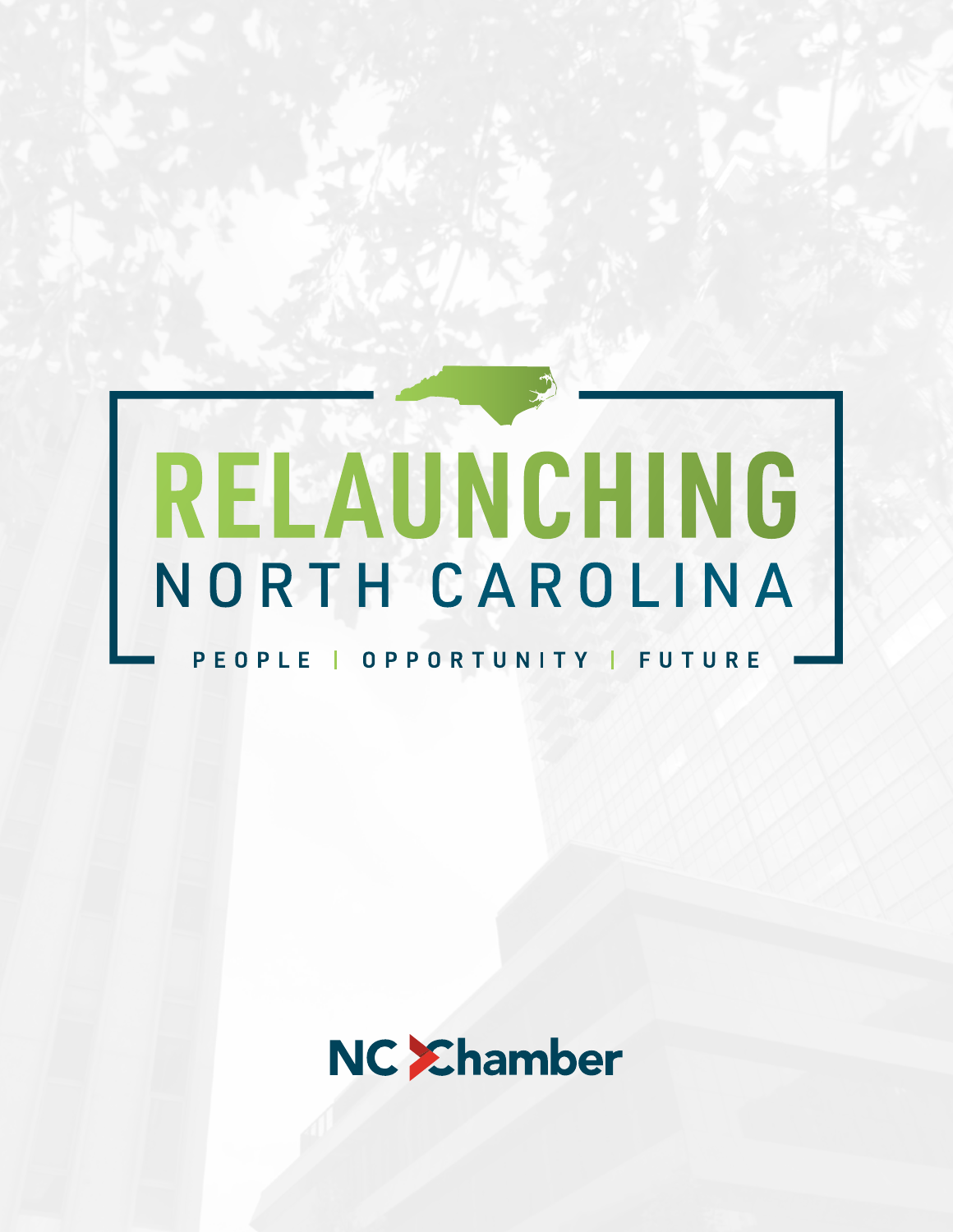# RELAUNCHING NORTH CAROLINA

PEOPLE | OPPORTUNITY | FUTURE

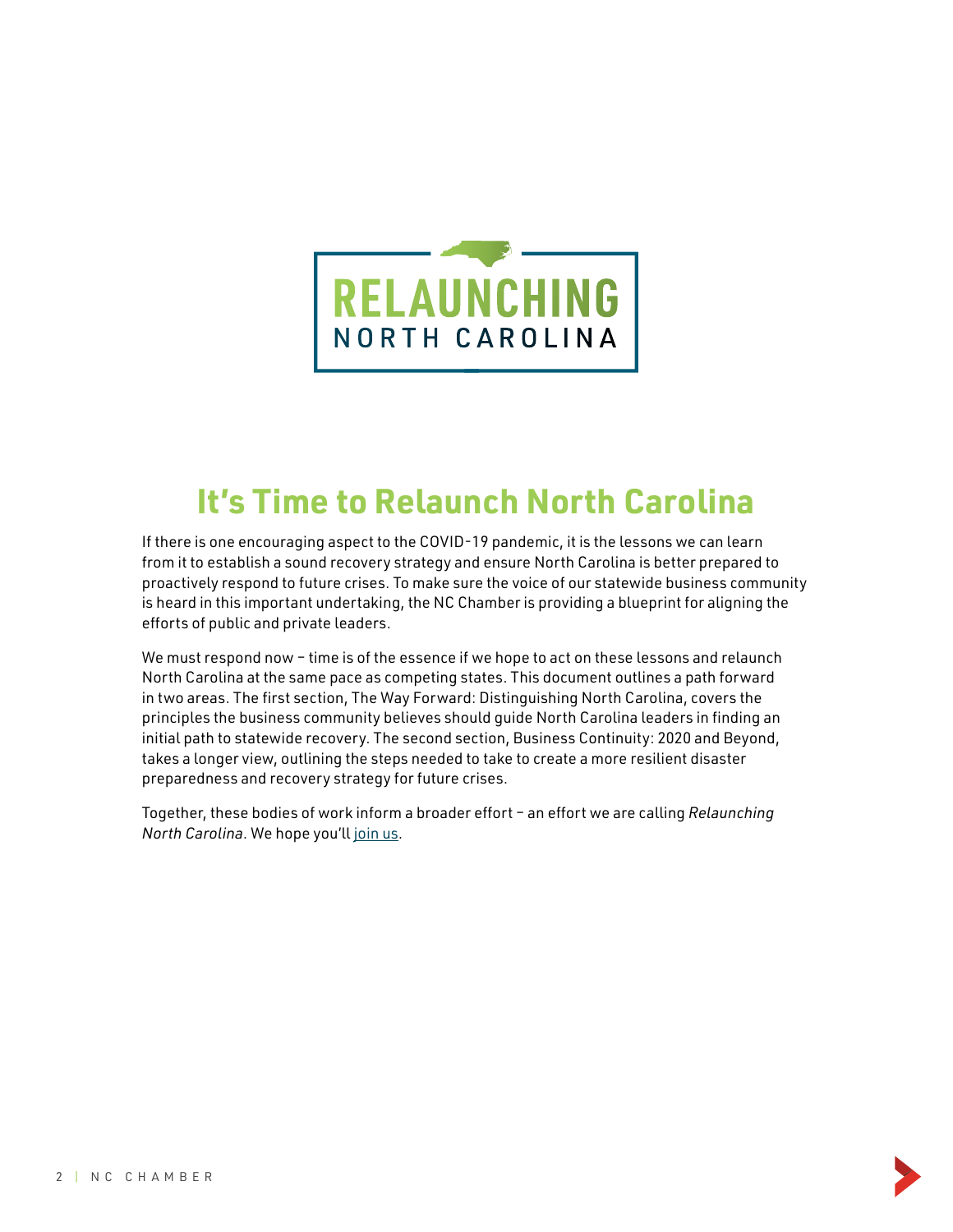

### **It's Time to Relaunch North Carolina**

If there is one encouraging aspect to the COVID-19 pandemic, it is the lessons we can learn from it to establish a sound recovery strategy and ensure North Carolina is better prepared to proactively respond to future crises. To make sure the voice of our statewide business community is heard in this important undertaking, the NC Chamber is providing a blueprint for aligning the efforts of public and private leaders.

We must respond now – time is of the essence if we hope to act on these lessons and relaunch North Carolina at the same pace as competing states. This document outlines a path forward in two areas. The first section, The Way Forward: Distinguishing North Carolina, covers the principles the business community believes should guide North Carolina leaders in finding an initial path to statewide recovery. The second section, Business Continuity: 2020 and Beyond, takes a longer view, outlining the steps needed to take to create a more resilient disaster preparedness and recovery strategy for future crises.

Together, these bodies of work inform a broader effort – an effort we are calling *Relaunching North Carolina*. We hope you'll [join us](https://ncchamber.com/relaunching-north-carolina-join-the-coalition/).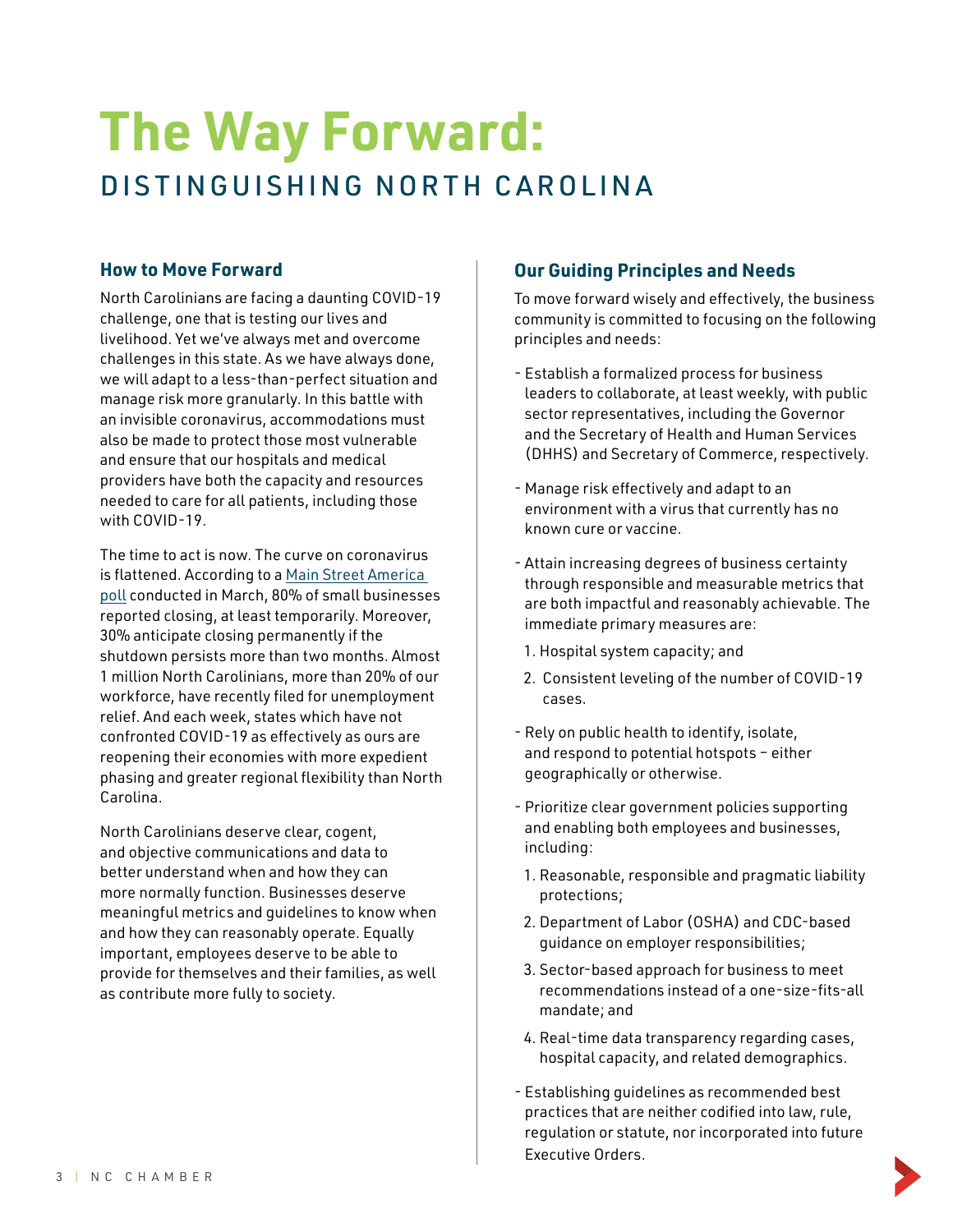### **The Way Forward:** DISTINGUISHING NORTH CAROLINA

### **How to Move Forward**

North Carolinians are facing a daunting COVID-19 challenge, one that is testing our lives and livelihood. Yet we've always met and overcome challenges in this state. As we have always done, we will adapt to a less-than-perfect situation and manage risk more granularly. In this battle with an invisible coronavirus, accommodations must also be made to protect those most vulnerable and ensure that our hospitals and medical providers have both the capacity and resources needed to care for all patients, including those with COVID-19.

The time to act is now. The curve on coronavirus is flattened. According to a [Main Street America](https://www.mainstreet.org/blogs/national-main-street-center/2020/04/14/just-released-data-from-the-survey-on-the-impact-o)  [poll](https://www.mainstreet.org/blogs/national-main-street-center/2020/04/14/just-released-data-from-the-survey-on-the-impact-o) conducted in March, 80% of small businesses reported closing, at least temporarily. Moreover, 30% anticipate closing permanently if the shutdown persists more than two months. Almost 1 million North Carolinians, more than 20% of our workforce, have recently filed for unemployment relief. And each week, states which have not confronted COVID-19 as effectively as ours are reopening their economies with more expedient phasing and greater regional flexibility than North Carolina.

North Carolinians deserve clear, cogent, and objective communications and data to better understand when and how they can more normally function. Businesses deserve meaningful metrics and guidelines to know when and how they can reasonably operate. Equally important, employees deserve to be able to provide for themselves and their families, as well as contribute more fully to society.

### **Our Guiding Principles and Needs**

To move forward wisely and effectively, the business community is committed to focusing on the following principles and needs:

- Establish a formalized process for business leaders to collaborate, at least weekly, with public sector representatives, including the Governor and the Secretary of Health and Human Services (DHHS) and Secretary of Commerce, respectively.
- Manage risk effectively and adapt to an environment with a virus that currently has no known cure or vaccine.
- Attain increasing degrees of business certainty through responsible and measurable metrics that are both impactful and reasonably achievable. The immediate primary measures are:
	- 1. Hospital system capacity; and
	- 2. Consistent leveling of the number of COVID-19 cases.
- Rely on public health to identify, isolate, and respond to potential hotspots – either geographically or otherwise.
- Prioritize clear government policies supporting and enabling both employees and businesses, including:
	- 1. Reasonable, responsible and pragmatic liability protections;
	- 2. Department of Labor (OSHA) and CDC-based guidance on employer responsibilities;
- 3. Sector-based approach for business to meet recommendations instead of a one-size-fits-all mandate; and
- 4. Real-time data transparency regarding cases, hospital capacity, and related demographics.
- Establishing guidelines as recommended best practices that are neither codified into law, rule, regulation or statute, nor incorporated into future Executive Orders.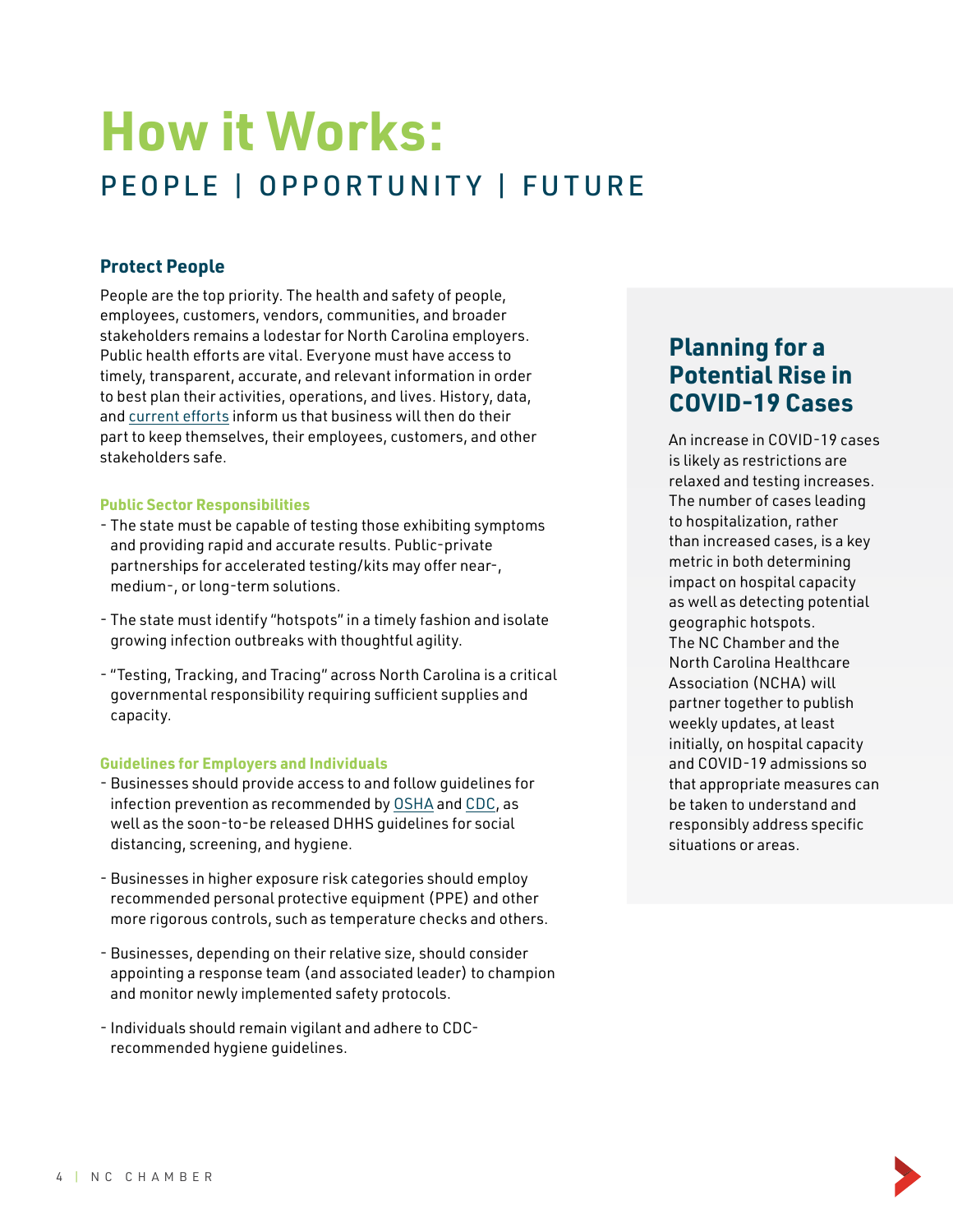### **How it Works:** PEOPLE | OPPORTUNITY | FUTURE

### **Protect People**

People are the top priority. The health and safety of people, employees, customers, vendors, communities, and broader stakeholders remains a lodestar for North Carolina employers. Public health efforts are vital. Everyone must have access to timely, transparent, accurate, and relevant information in order to best plan their activities, operations, and lives. History, data, and [current efforts](https://ncchamber.com/people-are-priority-preparing-your-business-for-the-road-forward/) inform us that business will then do their part to keep themselves, their employees, customers, and other stakeholders safe.

### **Public Sector Responsibilities**

- The state must be capable of testing those exhibiting symptoms and providing rapid and accurate results. Public-private partnerships for accelerated testing/kits may offer near-, medium-, or long-term solutions.
- The state must identify "hotspots" in a timely fashion and isolate growing infection outbreaks with thoughtful agility.
- "Testing, Tracking, and Tracing" across North Carolina is a critical governmental responsibility requiring sufficient supplies and capacity.

### **Guidelines for Employers and Individuals**

- Businesses should provide access to and follow guidelines for infection prevention as recommended by [OSHA](https://www.osha.gov/Publications/OSHA3990.pdf) and [CDC,](https://www.osha.gov/Publications/OSHA3990.pdf) as well as the soon-to-be released DHHS guidelines for social distancing, screening, and hygiene.
- Businesses in higher exposure risk categories should employ recommended personal protective equipment (PPE) and other more rigorous controls, such as temperature checks and others.
- Businesses, depending on their relative size, should consider appointing a response team (and associated leader) to champion and monitor newly implemented safety protocols.
- Individuals should remain vigilant and adhere to CDCrecommended hygiene guidelines.

### **Planning for a Potential Rise in COVID-19 Cases**

An increase in COVID-19 cases is likely as restrictions are relaxed and testing increases. The number of cases leading to hospitalization, rather than increased cases, is a key metric in both determining impact on hospital capacity as well as detecting potential geographic hotspots. The NC Chamber and the North Carolina Healthcare Association (NCHA) will partner together to publish weekly updates, at least initially, on hospital capacity and COVID-19 admissions so that appropriate measures can be taken to understand and responsibly address specific situations or areas.

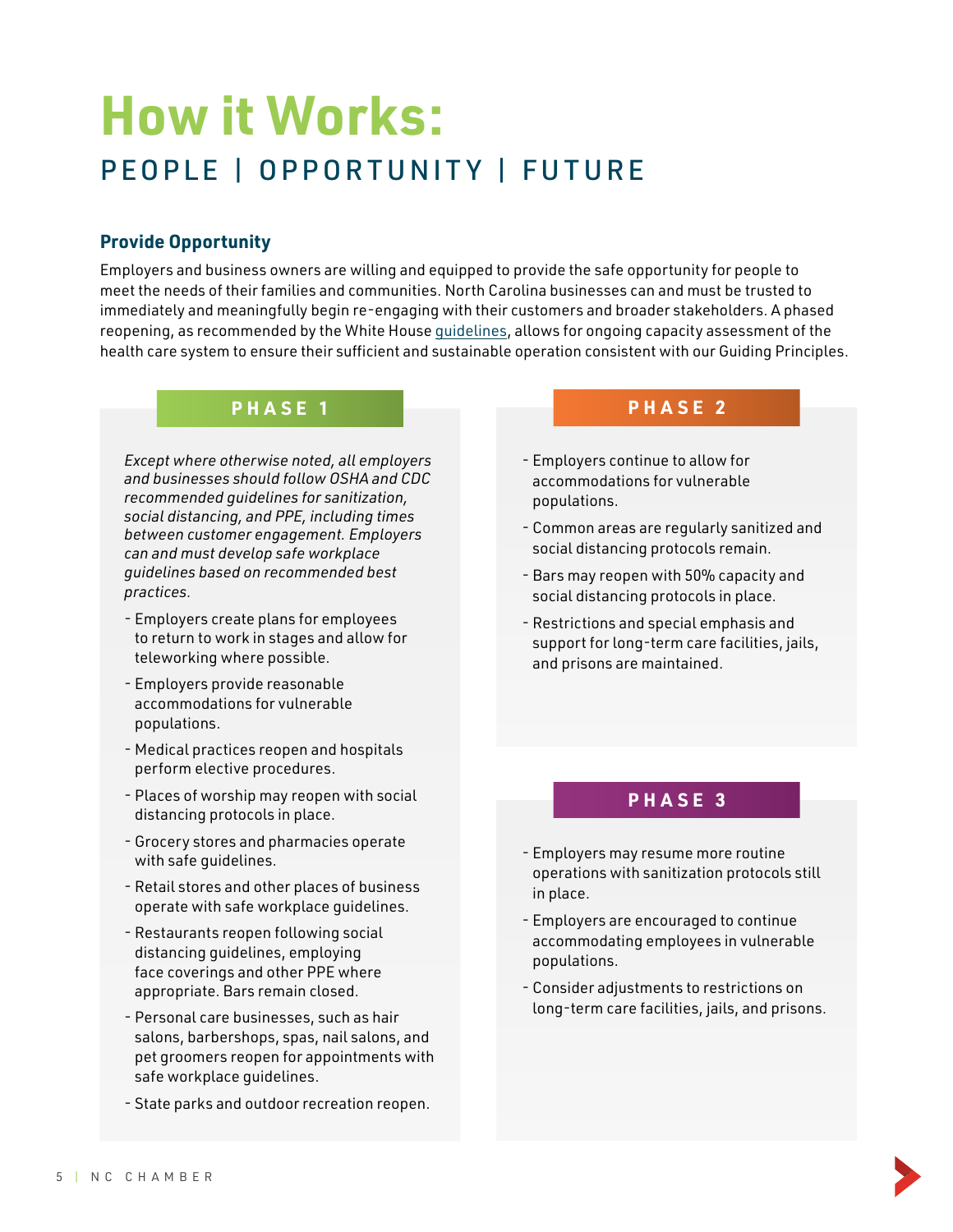### **How it Works:** PEOPLE | OPPORTUNITY | FUTURE

### **Provide Opportunity**

Employers and business owners are willing and equipped to provide the safe opportunity for people to meet the needs of their families and communities. North Carolina businesses can and must be trusted to immediately and meaningfully begin re-engaging with their customers and broader stakeholders. A phased reopening, as recommended by the White House [guidelines,](https://www.whitehouse.gov/openingamerica/) allows for ongoing capacity assessment of the health care system to ensure their sufficient and sustainable operation consistent with our Guiding Principles.

*Except where otherwise noted, all employers and businesses should follow OSHA and CDC recommended guidelines for sanitization, social distancing, and PPE, including times between customer engagement. Employers can and must develop safe workplace guidelines based on recommended best practices.*

- Employers create plans for employees to return to work in stages and allow for teleworking where possible.
- Employers provide reasonable accommodations for vulnerable populations.
- Medical practices reopen and hospitals perform elective procedures.
- Places of worship may reopen with social distancing protocols in place.
- Grocery stores and pharmacies operate with safe guidelines.
- Retail stores and other places of business operate with safe workplace guidelines.
- Restaurants reopen following social distancing guidelines, employing face coverings and other PPE where appropriate. Bars remain closed.
- Personal care businesses, such as hair salons, barbershops, spas, nail salons, and pet groomers reopen for appointments with safe workplace guidelines.
- State parks and outdoor recreation reopen.

### **PHASE 1 PHASE 2**

- Employers continue to allow for accommodations for vulnerable populations.
- Common areas are regularly sanitized and social distancing protocols remain.
- Bars may reopen with 50% capacity and social distancing protocols in place.
- Restrictions and special emphasis and support for long-term care facilities, jails, and prisons are maintained.

### **PHASE 3**

- Employers may resume more routine operations with sanitization protocols still in place.
- Employers are encouraged to continue accommodating employees in vulnerable populations.
- Consider adjustments to restrictions on long-term care facilities, jails, and prisons.

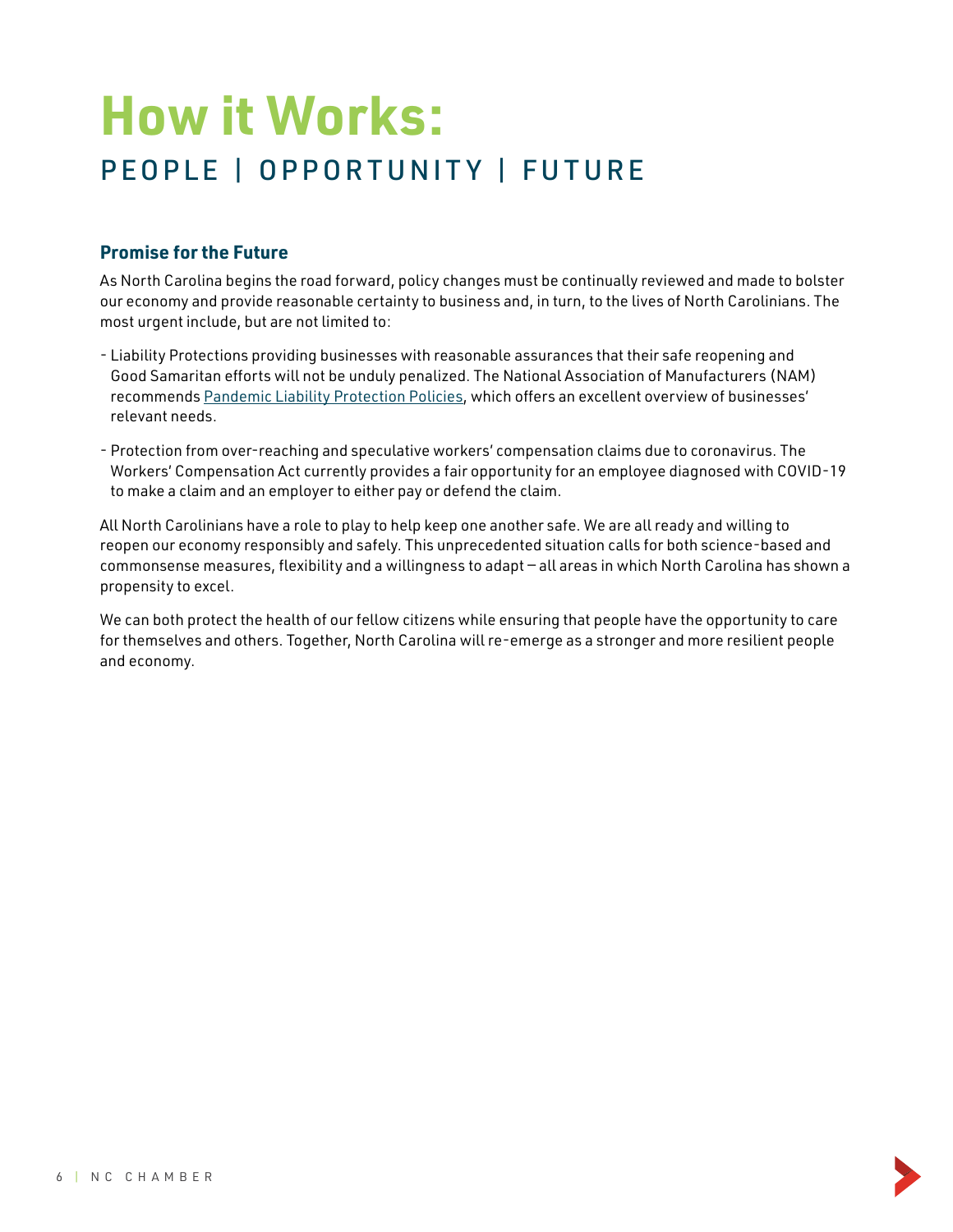### **How it Works:** PEOPLE | OPPORTUNITY | FUTURE

### **Promise for the Future**

As North Carolina begins the road forward, policy changes must be continually reviewed and made to bolster our economy and provide reasonable certainty to business and, in turn, to the lives of North Carolinians. The most urgent include, but are not limited to:

- Liability Protections providing businesses with reasonable assurances that their safe reopening and Good Samaritan efforts will not be unduly penalized. The National Association of Manufacturers (NAM) recommends [Pandemic Liability Protection Policies,](https://www.nam.org/wp-content/uploads/2020/04/Liability-Policy.v4.pdf) which offers an excellent overview of businesses' relevant needs.
- Protection from over-reaching and speculative workers' compensation claims due to coronavirus. The Workers' Compensation Act currently provides a fair opportunity for an employee diagnosed with COVID-19 to make a claim and an employer to either pay or defend the claim.

All North Carolinians have a role to play to help keep one another safe. We are all ready and willing to reopen our economy responsibly and safely. This unprecedented situation calls for both science-based and commonsense measures, flexibility and a willingness to adapt — all areas in which North Carolina has shown a propensity to excel.

We can both protect the health of our fellow citizens while ensuring that people have the opportunity to care for themselves and others. Together, North Carolina will re-emerge as a stronger and more resilient people and economy.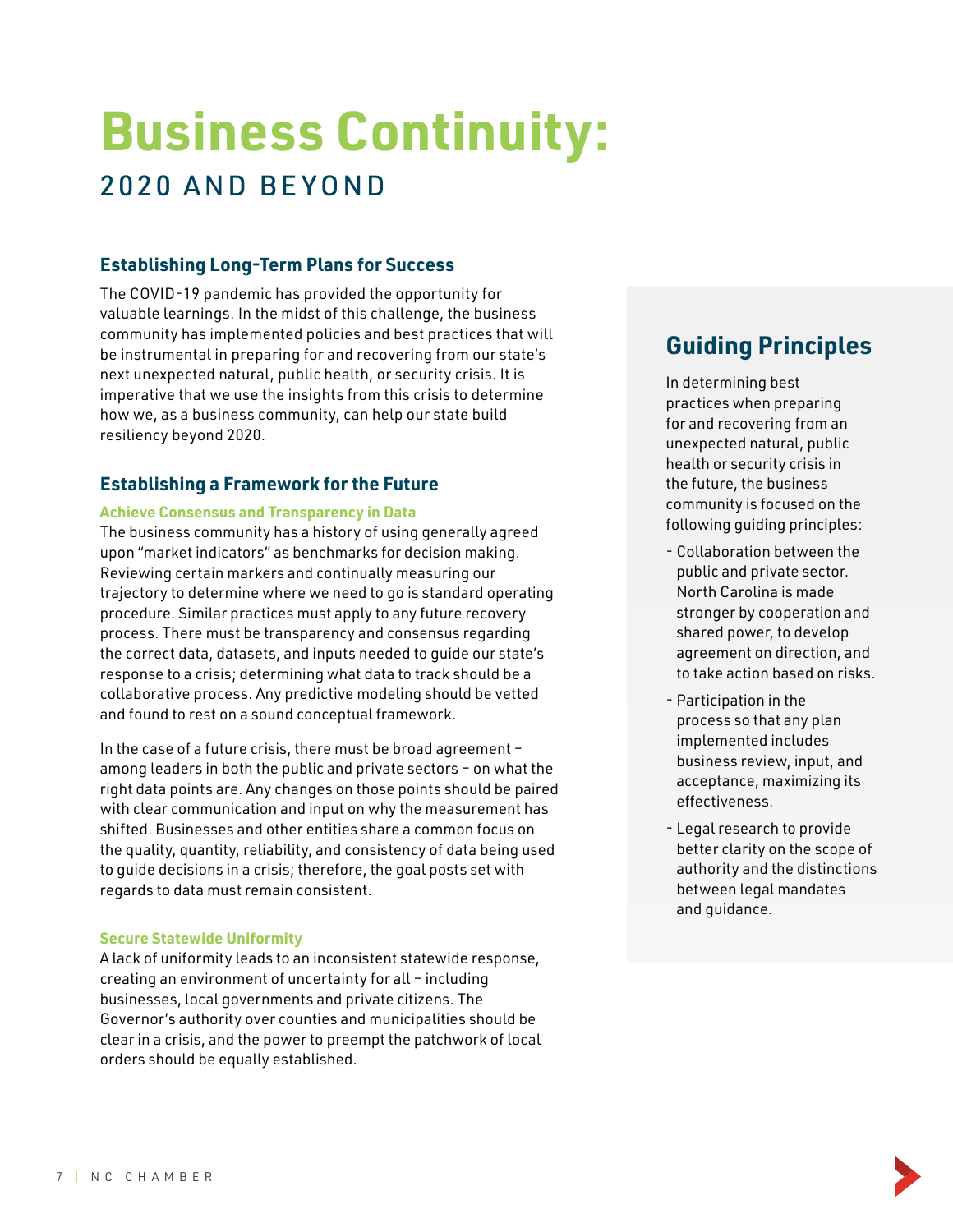## **Business Continuity:** 2020 AND BEYOND

### **Establishing Long-Term Plans for Success**

The COVID-19 pandemic has provided the opportunity for valuable learnings. In the midst of this challenge, the business community has implemented policies and best practices that will be instrumental in preparing for and recovering from our state's next unexpected natural, public health, or security crisis. It is imperative that we use the insights from this crisis to determine how we, as a business community, can help our state build resiliency beyond 2020.

### **Establishing a Framework for the Future**

### **Achieve Consensus and Transparency in Data**

The business community has a history of using generally agreed upon "market indicators" as benchmarks for decision making. Reviewing certain markers and continually measuring our trajectory to determine where we need to go is standard operating procedure. Similar practices must apply to any future recovery process. There must be transparency and consensus regarding the correct data, datasets, and inputs needed to guide our state's response to a crisis; determining what data to track should be a collaborative process. Any predictive modeling should be vetted and found to rest on a sound conceptual framework.

In the case of a future crisis, there must be broad agreement – among leaders in both the public and private sectors – on what the right data points are. Any changes on those points should be paired with clear communication and input on why the measurement has shifted. Businesses and other entities share a common focus on the quality, quantity, reliability, and consistency of data being used to guide decisions in a crisis; therefore, the goal posts set with regards to data must remain consistent.

### **Secure Statewide Uniformity**

A lack of uniformity leads to an inconsistent statewide response, creating an environment of uncertainty for all – including businesses, local governments and private citizens. The Governor's authority over counties and municipalities should be clear in a crisis, and the power to preempt the patchwork of local orders should be equally established.

### **Guiding Principles**

In determining best practices when preparing for and recovering from an unexpected natural, public health or security crisis in the future, the business community is focused on the following guiding principles:

- Collaboration between the public and private sector. North Carolina is made stronger by cooperation and shared power, to develop agreement on direction, and to take action based on risks.
- Participation in the process so that any plan implemented includes business review, input, and acceptance, maximizing its effectiveness.
- Legal research to provide better clarity on the scope of authority and the distinctions between legal mandates and guidance.

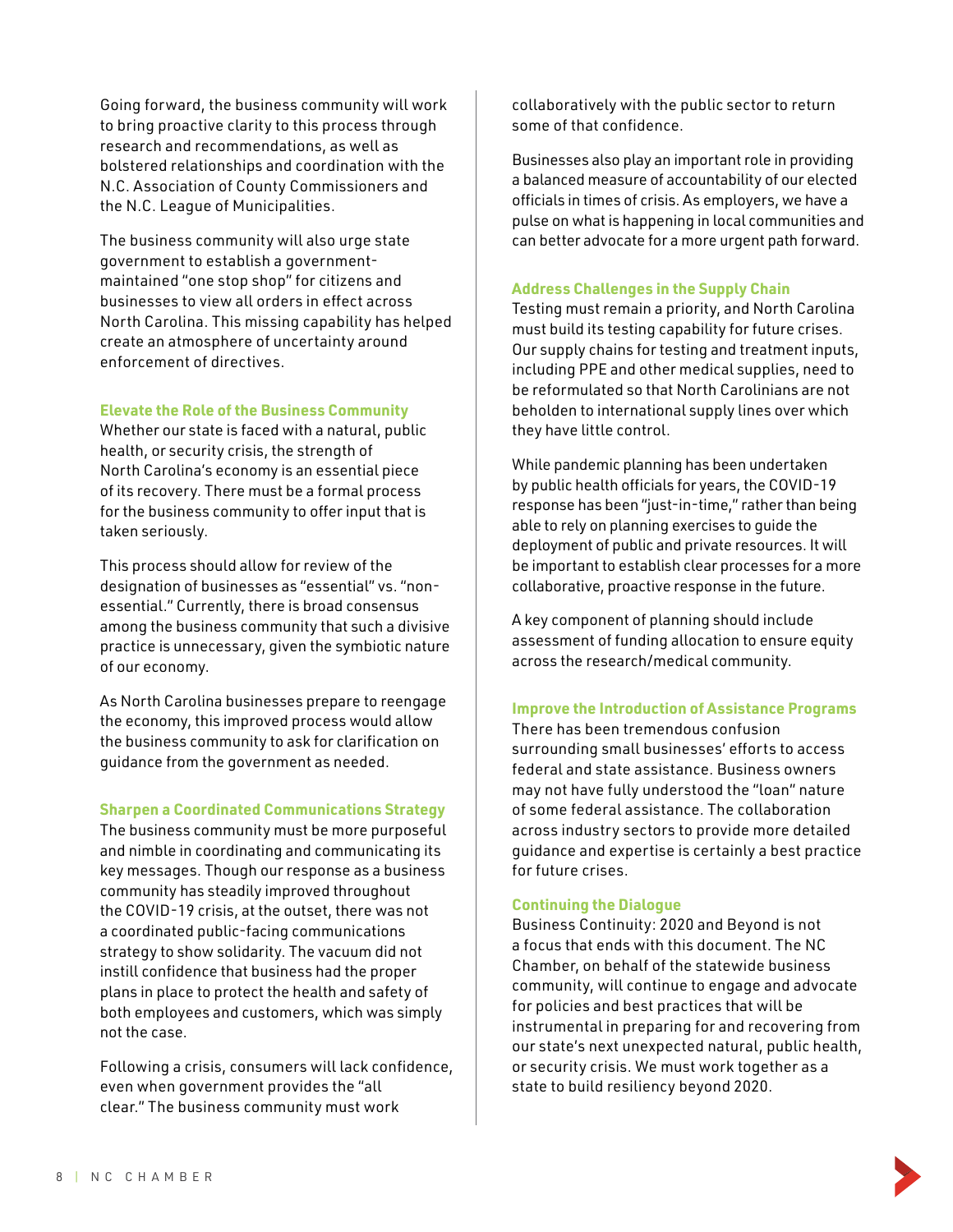Going forward, the business community will work to bring proactive clarity to this process through research and recommendations, as well as bolstered relationships and coordination with the N.C. Association of County Commissioners and the N.C. League of Municipalities.

The business community will also urge state government to establish a governmentmaintained "one stop shop" for citizens and businesses to view all orders in effect across North Carolina. This missing capability has helped create an atmosphere of uncertainty around enforcement of directives.

### **Elevate the Role of the Business Community**

Whether our state is faced with a natural, public health, or security crisis, the strength of North Carolina's economy is an essential piece of its recovery. There must be a formal process for the business community to offer input that is taken seriously.

This process should allow for review of the designation of businesses as "essential" vs. "nonessential." Currently, there is broad consensus among the business community that such a divisive practice is unnecessary, given the symbiotic nature of our economy.

As North Carolina businesses prepare to reengage the economy, this improved process would allow the business community to ask for clarification on guidance from the government as needed.

### **Sharpen a Coordinated Communications Strategy**

The business community must be more purposeful and nimble in coordinating and communicating its key messages. Though our response as a business community has steadily improved throughout the COVID-19 crisis, at the outset, there was not a coordinated public-facing communications strategy to show solidarity. The vacuum did not instill confidence that business had the proper plans in place to protect the health and safety of both employees and customers, which was simply not the case.

Following a crisis, consumers will lack confidence, even when government provides the "all clear." The business community must work

collaboratively with the public sector to return some of that confidence.

Businesses also play an important role in providing a balanced measure of accountability of our elected officials in times of crisis. As employers, we have a pulse on what is happening in local communities and can better advocate for a more urgent path forward.

#### **Address Challenges in the Supply Chain**

Testing must remain a priority, and North Carolina must build its testing capability for future crises. Our supply chains for testing and treatment inputs, including PPE and other medical supplies, need to be reformulated so that North Carolinians are not beholden to international supply lines over which they have little control.

While pandemic planning has been undertaken by public health officials for years, the COVID-19 response has been "just-in-time," rather than being able to rely on planning exercises to guide the deployment of public and private resources. It will be important to establish clear processes for a more collaborative, proactive response in the future.

A key component of planning should include assessment of funding allocation to ensure equity across the research/medical community.

#### **Improve the Introduction of Assistance Programs**

There has been tremendous confusion surrounding small businesses' efforts to access federal and state assistance. Business owners may not have fully understood the "loan" nature of some federal assistance. The collaboration across industry sectors to provide more detailed guidance and expertise is certainly a best practice for future crises.

#### **Continuing the Dialogue**

Business Continuity: 2020 and Beyond is not a focus that ends with this document. The NC Chamber, on behalf of the statewide business community, will continue to engage and advocate for policies and best practices that will be instrumental in preparing for and recovering from our state's next unexpected natural, public health, or security crisis. We must work together as a state to build resiliency beyond 2020.